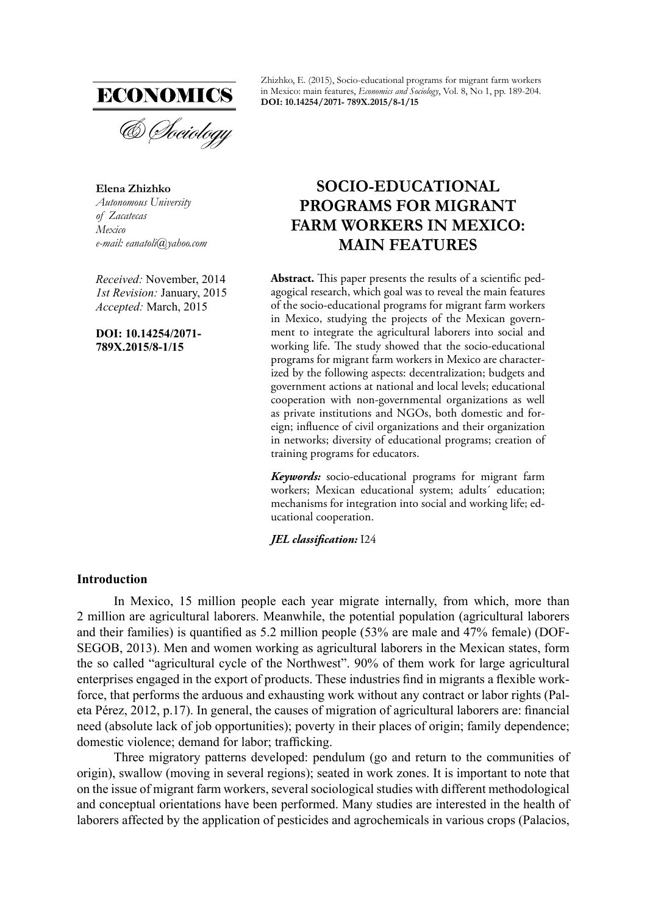

**Elena Zhizhko** *Autonomous University of Zacatecas Mexico e-mail: eanatoli@yahoo.com*

*Received:* November, 2014 *1st Revision:* January, 2015 *Accepted:* March, 2015

**DOI: 10.14254/2071- 789X.2015/8-1/15**

Zhizhko, E. (2015), Socio-educational programs for migrant farm workers in Mexico: main features, *Economics and Sociology*, Vol. 8, No 1, pp. 189-204. **DOI: 10.14254/2071- 789X.2015/8-1/15**

# **SOCIO-EDUCATIONAL PROGRAMS FOR MIGRANT FARM WORKERS IN MEXICO: MAIN FEATURES**

Abstract. This paper presents the results of a scientific pedagogical research, which goal was to reveal the main features of the socio-educational programs for migrant farm workers in Mexico, studying the projects of the Mexican government to integrate the agricultural laborers into social and working life. The study showed that the socio-educational programs for migrant farm workers in Mexico are characterized by the following aspects: decentralization; budgets and government actions at national and local levels; educational cooperation with non-governmental organizations as well as private institutions and NGOs, both domestic and foreign; influence of civil organizations and their organization in networks; diversity of educational programs; creation of training programs for educators.

*Keywords:* socio-educational programs for migrant farm workers; Mexican educational system; adults´ education; mechanisms for integration into social and working life; educational cooperation.

*JEL classification:*  $124$ 

# **Introduction**

In Mexico, 15 million people each year migrate internally, from which, more than 2 million are agricultural laborers. Meanwhile, the potential population (agricultural laborers and their families) is quantified as  $5.2$  million people ( $53\%$  are male and  $47\%$  female) (DOF-SEGOB, 2013). Men and women working as agricultural laborers in the Mexican states, form the so called "agricultural cycle of the Northwest". 90% of them work for large agricultural enterprises engaged in the export of products. These industries find in migrants a flexible workforce, that performs the arduous and exhausting work without any contract or labor rights (Paleta Pérez, 2012, p.17). In general, the causes of migration of agricultural laborers are: financial need (absolute lack of job opportunities); poverty in their places of origin; family dependence; domestic violence; demand for labor; trafficking.

Three migratory patterns developed: pendulum (go and return to the communities of origin), swallow (moving in several regions); seated in work zones. It is important to note that on the issue of migrant farm workers, several sociological studies with different methodological and conceptual orientations have been performed. Many studies are interested in the health of laborers affected by the application of pesticides and agrochemicals in various crops (Palacios,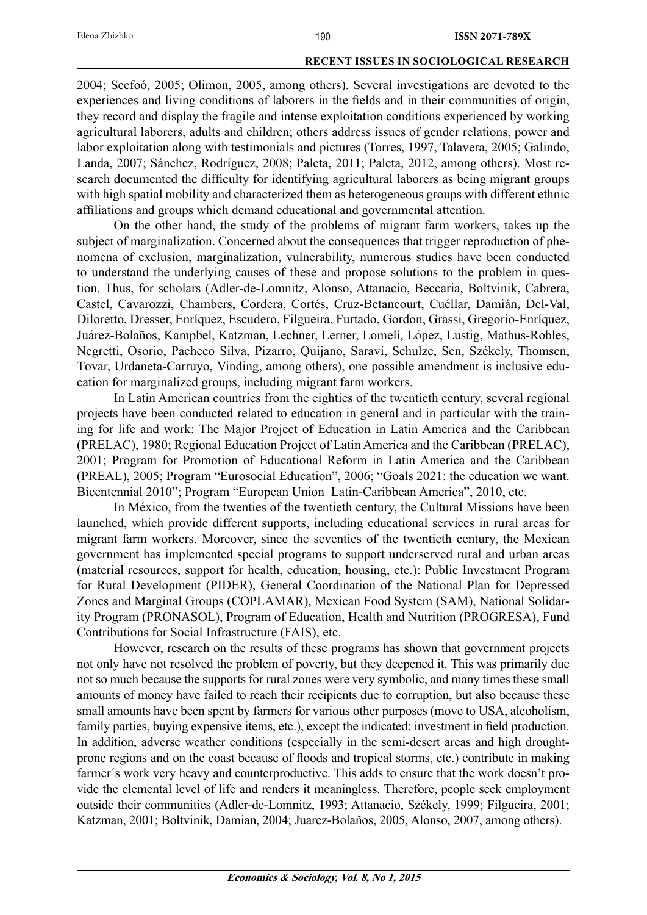2004; Seefoó, 2005; Olimon, 2005, among others). Several investigations are devoted to the experiences and living conditions of laborers in the fields and in their communities of origin, they record and display the fragile and intense exploitation conditions experienced by working agricultural laborers, adults and children; others address issues of gender relations, power and labor exploitation along with testimonials and pictures (Torres, 1997, Talavera, 2005; Galindo, Landa, 2007; Sánchez, Rodríguez, 2008; Paleta, 2011; Paleta, 2012, among others). Most research documented the difficulty for identifying agricultural laborers as being migrant groups with high spatial mobility and characterized them as heterogeneous groups with different ethnic affiliations and groups which demand educational and governmental attention.

On the other hand, the study of the problems of migrant farm workers, takes up the subject of marginalization. Concerned about the consequences that trigger reproduction of phenomena of exclusion, marginalization, vulnerability, numerous studies have been conducted to understand the underlying causes of these and propose solutions to the problem in question. Thus, for scholars (Adler-de-Lomnitz, Alonso, Attanacio, Beccaria, Boltvinik, Cabrera, Castel, Cavarozzi, Chambers, Cordera, Cortés, Cruz-Betancourt, Cuéllar, Damián, Del-Val, Diloretto, Dresser, Enríquez, Escudero, Filgueira, Furtado, Gordon, Grassi, Gregorio-Enríquez, Juárez-Bolaños, Kampbel, Katzman, Lechner, Lerner, Lomelí, López, Lustig, Маthus-Robles, Negretti, Osorio, Pacheco Silva, Pizarro, Quijano, Saraví, Schulze, Sen, Székely, Thomsen, Тоvar, Urdaneta-Carruyo, Vinding, among others), one possible amendment is inclusive education for marginalized groups, including migrant farm workers.

In Latin American countries from the eighties of the twentieth century, several regional projects have been conducted related to education in general and in particular with the training for life and work: The Major Project of Education in Latin America and the Caribbean (PRELAC), 1980; Regional Education Project of Latin America and the Caribbean (PRELAC), 2001; Program for Promotion of Educational Reform in Latin America and the Caribbean (PREAL), 2005; Program "Eurosоcial Education", 2006; "Goals 2021: the education we want. Bicentennial 2010"; Program "European Union Latin-Caribbean America", 2010, etc.

In México, from the twenties of the twentieth century, the Cultural Missions have been launched, which provide different supports, including educational services in rural areas for migrant farm workers. Moreover, since the seventies of the twentieth century, the Mexican government has implemented special programs to support underserved rural and urban areas (material resources, support for health, education, housing, etc.): Public Investment Program for Rural Development (PIDER), General Coordination of the National Plan for Depressed Zones and Marginal Groups (COPLAMAR), Mexican Food System (SAM), National Solidarity Program (PRONASOL), Program of Education, Health and Nutrition (PROGRESA), Fund Contributions for Social Infrastructure (FAIS), etc.

However, research on the results of these programs has shown that government projects not only have not resolved the problem of poverty, but they deepened it. This was primarily due not so much because the supports for rural zones were very symbolic, and many times these small amounts of money have failed to reach their recipients due to corruption, but also because these small amounts have been spent by farmers for various other purposes (move to USA, alcoholism, family parties, buying expensive items, etc.), except the indicated: investment in field production. In addition, adverse weather conditions (especially in the semi-desert areas and high droughtprone regions and on the coast because of floods and tropical storms, etc.) contribute in making farmer´s work very heavy and counterproductive. This adds to ensure that the work doesn't provide the elemental level of life and renders it meaningless. Therefore, people seek employment outside their communities (Adler-de-Lomnitz, 1993; Attanacio, Székely, 1999; Filgueira, 2001; Katzman, 2001; Boltvinik, Damian, 2004; Juarez-Bolaños, 2005, Alonso, 2007, among others).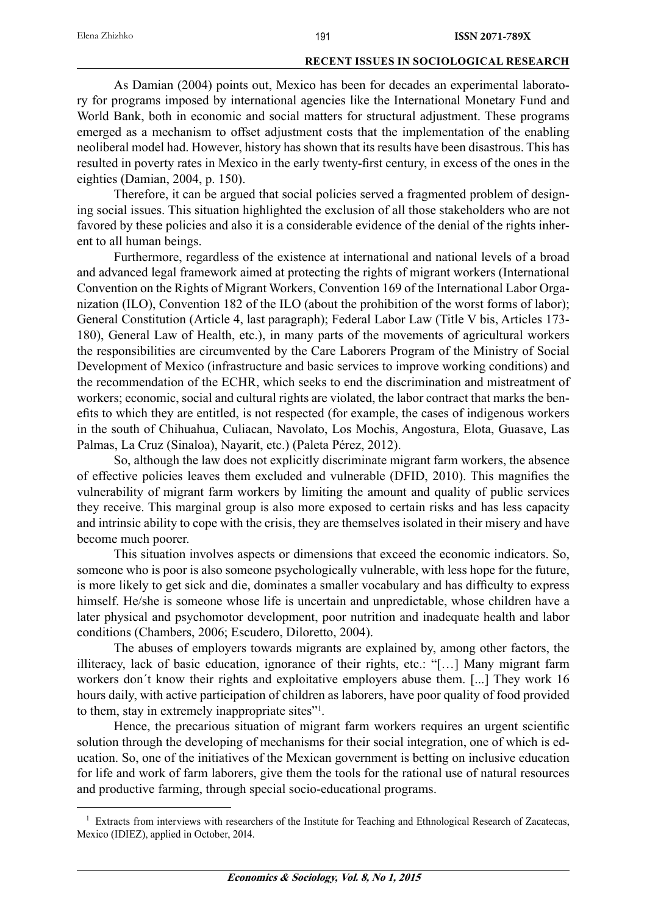As Damian (2004) points out, Mexico has been for decades an experimental laboratory for programs imposed by international agencies like the International Monetary Fund and World Bank, both in economic and social matters for structural adjustment. These programs emerged as a mechanism to offset adjustment costs that the implementation of the enabling neoliberal model had. However, history has shown that its results have been disastrous. This has resulted in poverty rates in Mexico in the early twenty-first century, in excess of the ones in the eighties (Damian, 2004, p. 150).

Therefore, it can be argued that social policies served a fragmented problem of designing social issues. This situation highlighted the exclusion of all those stakeholders who are not favored by these policies and also it is a considerable evidence of the denial of the rights inherent to all human beings.

Furthermore, regardless of the existence at international and national levels of a broad and advanced legal framework aimed at protecting the rights of migrant workers (International Convention on the Rights of Migrant Workers, Convention 169 of the International Labor Organization (ILO), Convention 182 of the ILO (about the prohibition of the worst forms of labor); General Constitution (Article 4, last paragraph); Federal Labor Law (Title V bis, Articles 173- 180), General Law of Health, etc.), in many parts of the movements of agricultural workers the responsibilities are circumvented by the Care Laborers Program of the Ministry of Social Development of Mexico (infrastructure and basic services to improve working conditions) and the recommendation of the ECHR, which seeks to end the discrimination and mistreatment of workers; economic, social and cultural rights are violated, the labor contract that marks the benefits to which they are entitled, is not respected (for example, the cases of indigenous workers in the south of Chihuahua, Culiacan, Navolato, Los Mochis, Angostura, Elota, Guasave, Las Palmas, La Cruz (Sinaloa), Nayarit, etc.) (Paleta Pérez, 2012).

So, although the law does not explicitly discriminate migrant farm workers, the absence of effective policies leaves them excluded and vulnerable (DFID, 2010). This magnifies the vulnerability of migrant farm workers by limiting the amount and quality of public services they receive. This marginal group is also more exposed to certain risks and has less capacity and intrinsic ability to cope with the crisis, they are themselves isolated in their misery and have become much poorer.

This situation involves aspects or dimensions that exceed the economic indicators. So, someone who is poor is also someone psychologically vulnerable, with less hope for the future, is more likely to get sick and die, dominates a smaller vocabulary and has difficulty to express himself. He/she is someone whose life is uncertain and unpredictable, whose children have a later physical and psychomotor development, poor nutrition and inadequate health and labor conditions (Chambers, 2006; Escudero, Diloretto, 2004).

The abuses of employers towards migrants are explained by, among other factors, the illiteracy, lack of basic education, ignorance of their rights, etc.: "[…] Many migrant farm workers don´t know their rights and exploitative employers abuse them. [...] They work 16 hours daily, with active participation of children as laborers, have poor quality of food provided to them, stay in extremely inappropriate sites"1 .

Hence, the precarious situation of migrant farm workers requires an urgent scientific solution through the developing of mechanisms for their social integration, one of which is education. So, one of the initiatives of the Mexican government is betting on inclusive education for life and work of farm laborers, give them the tools for the rational use of natural resources and productive farming, through special socio-educational programs.

<sup>&</sup>lt;sup>1</sup> Extracts from interviews with researchers of the Institute for Teaching and Ethnological Research of Zacatecas, Mexico (IDIEZ), applied in October, 2014.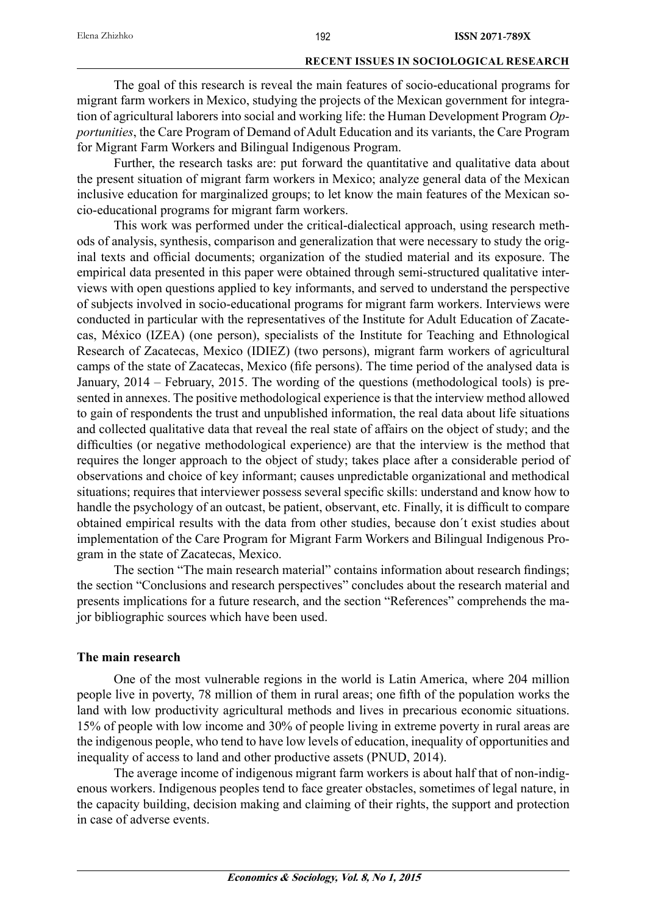The goal of this research is reveal the main features of socio-educational programs for migrant farm workers in Mexico, studying the projects of the Mexican government for integration of agricultural laborers into social and working life: the Human Development Program *Opportunities*, the Care Program of Demand of Adult Education and its variants, the Care Program for Migrant Farm Workers and Bilingual Indigenous Program.

Further, the research tasks are: put forward the quantitative and qualitative data about the present situation of migrant farm workers in Mexico; analyze general data of the Mexican inclusive education for marginalized groups; to let know the main features of the Mexican socio-educational programs for migrant farm workers.

This work was performed under the critical-dialectical approach, using research methods of analysis, synthesis, comparison and generalization that were necessary to study the original texts and official documents; organization of the studied material and its exposure. The empirical data presented in this paper were obtained through semi-structured qualitative interviews with open questions applied to key informants, and served to understand the perspective of subjects involved in socio-educational programs for migrant farm workers. Interviews were conducted in particular with the representatives of the Institute for Adult Education of Zacatecas, México (IZEA) (one person), specialists of the Institute for Teaching and Ethnological Research of Zacatecas, Mexico (IDIEZ) (two persons), migrant farm workers of agricultural camps of the state of Zacatecas, Mexico (fife persons). The time period of the analysed data is January, 2014 – February, 2015. The wording of the questions (methodological tools) is presented in annexes. The positive methodological experience is that the interview method allowed to gain of respondents the trust and unpublished information, the real data about life situations and collected qualitative data that reveal the real state of affairs on the object of study; and the difficulties (or negative methodological experience) are that the interview is the method that requires the longer approach to the object of study; takes place after a considerable period of observations and choice of key informant; causes unpredictable organizational and methodical situations; requires that interviewer possess several specific skills: understand and know how to handle the psychology of an outcast, be patient, observant, etc. Finally, it is difficult to compare obtained empirical results with the data from other studies, because don´t exist studies about implementation of the Care Program for Migrant Farm Workers and Bilingual Indigenous Program in the state of Zacatecas, Mexico.

The section "The main research material" contains information about research findings; the section "Conclusions and research perspectives" concludes about the research material and presents implications for a future research, and the section "References" comprehends the major bibliographic sources which have been used.

# **The main research**

One of the most vulnerable regions in the world is Latin America, where 204 million people live in poverty, 78 million of them in rural areas; one fifth of the population works the land with low productivity agricultural methods and lives in precarious economic situations. 15% of people with low income and 30% of people living in extreme poverty in rural areas are the indigenous people, who tend to have low levels of education, inequality of opportunities and inequality of access to land and other productive assets (PNUD, 2014).

The average income of indigenous migrant farm workers is about half that of non-indigenous workers. Indigenous peoples tend to face greater obstacles, sometimes of legal nature, in the capacity building, decision making and claiming of their rights, the support and protection in case of adverse events.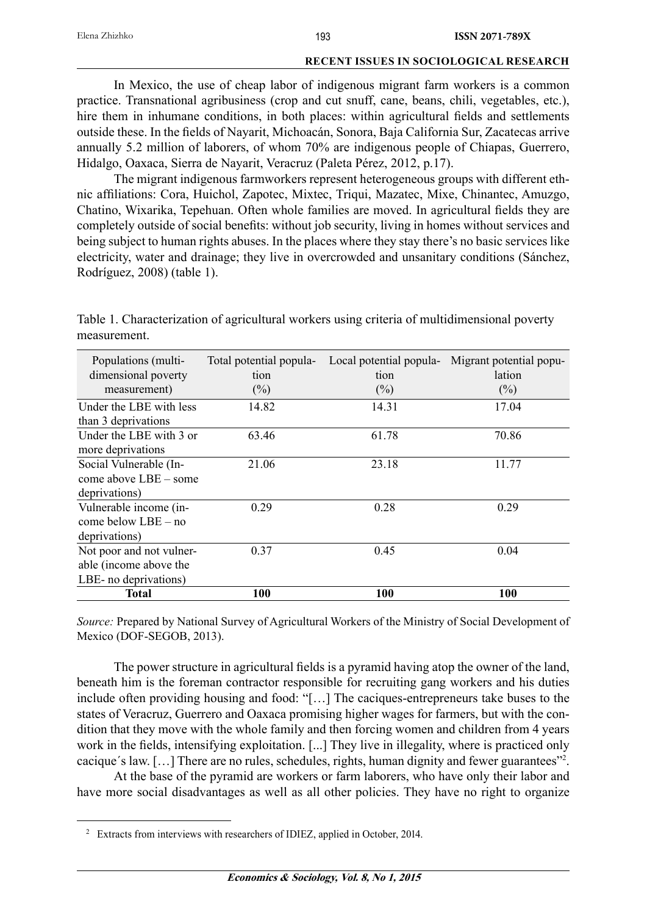In Mexico, the use of cheap labor of indigenous migrant farm workers is a common practice. Transnational agribusiness (crop and cut snuff, cane, beans, chili, vegetables, etc.), hire them in inhumane conditions, in both places: within agricultural fields and settlements outside these. In the fields of Nayarit, Michoacán, Sonora, Baja California Sur, Zacatecas arrive annually 5.2 million of laborers, of whom 70% are indigenous people of Chiapas, Guerrero, Hidalgo, Oaxaca, Sierra de Nayarit, Veracruz (Paleta Pérez, 2012, p.17).

The migrant indigenous farmworkers represent heterogeneous groups with different ethnic affiliations: Cora, Huichol, Zapotec, Mixtec, Triqui, Mazatec, Mixe, Chinantec, Amuzgo, Chatino, Wixarika, Tepehuan. Often whole families are moved. In agricultural fields they are completely outside of social benefits: without job security, living in homes without services and being subject to human rights abuses. In the places where they stay there's no basic services like electricity, water and drainage; they live in overcrowded and unsanitary conditions (Sánchez, Rodríguez, 2008) (table 1).

| Populations (multi-<br>dimensional poverty<br>measurement) | Total potential popula-<br>tion<br>$(\% )$ | Local potential popula-<br>tion<br>$(\%)$ | Migrant potential popu-<br>lation<br>$(\%)$ |
|------------------------------------------------------------|--------------------------------------------|-------------------------------------------|---------------------------------------------|
| Under the LBE with less                                    | 14.82                                      | 14.31                                     | 17.04                                       |
| than 3 deprivations                                        |                                            |                                           |                                             |
| Under the LBE with 3 or<br>more deprivations               | 63.46                                      | 61.78                                     | 70.86                                       |
| Social Vulnerable (In-                                     | 21.06                                      | 23.18                                     | 11.77                                       |
| come above LBE – some                                      |                                            |                                           |                                             |
| deprivations)                                              |                                            |                                           |                                             |
| Vulnerable income (in-                                     | 0.29                                       | 0.28                                      | 0.29                                        |
| come below $LBE - no$                                      |                                            |                                           |                                             |
| deprivations)                                              |                                            |                                           |                                             |
| Not poor and not vulner-                                   | 0.37                                       | 0.45                                      | 0.04                                        |
| able (income above the                                     |                                            |                                           |                                             |
| LBE- no deprivations)                                      |                                            |                                           |                                             |
| Total                                                      | 100                                        | 100                                       | <b>100</b>                                  |

Table 1. Characterization of agricultural workers using criteria of multidimensional poverty measurement.

*Source:* Prepared by National Survey of Agricultural Workers of the Ministry of Social Development of Mexico (DOF-SEGOB, 2013).

The power structure in agricultural fields is a pyramid having atop the owner of the land, beneath him is the foreman contractor responsible for recruiting gang workers and his duties include often providing housing and food: "[…] The caciques-entrepreneurs take buses to the states of Veracruz, Guerrero and Oaxaca promising higher wages for farmers, but with the condition that they move with the whole family and then forcing women and children from 4 years work in the fields, intensifying exploitation. [...] They live in illegality, where is practiced only cacique's law. [...] There are no rules, schedules, rights, human dignity and fewer guarantees"<sup>2</sup>.

At the base of the pyramid are workers or farm laborers, who have only their labor and have more social disadvantages as well as all other policies. They have no right to organize

<sup>&</sup>lt;sup>2</sup> Extracts from interviews with researchers of IDIEZ, applied in October, 2014.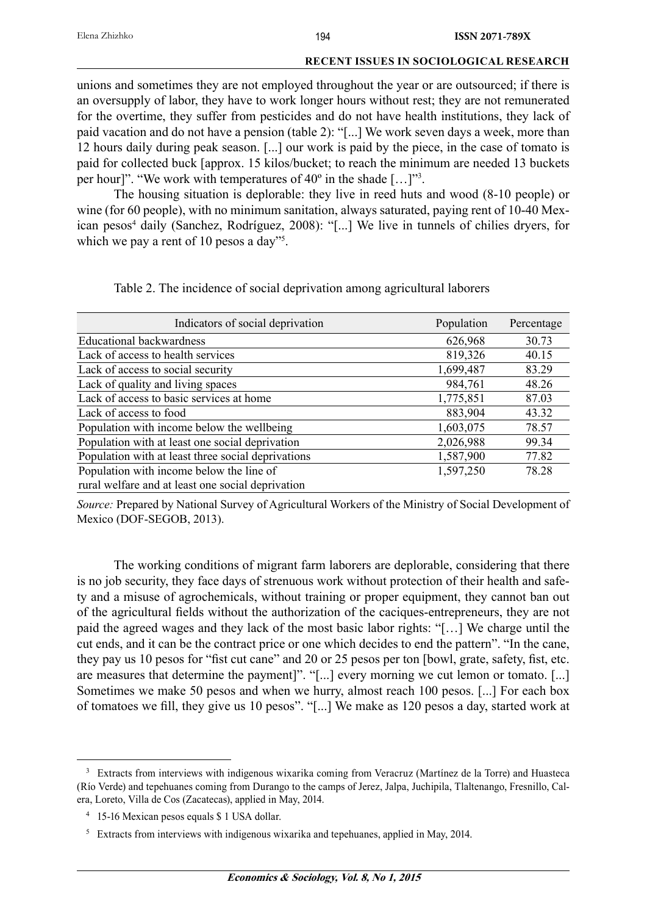unions and sometimes they are not employed throughout the year or are outsourced; if there is an oversupply of labor, they have to work longer hours without rest; they are not remunerated for the overtime, they suffer from pesticides and do not have health institutions, they lack of paid vacation and do not have a pension (table 2): "[...] We work seven days a week, more than 12 hours daily during peak season. [...] our work is paid by the piece, in the case of tomato is paid for collected buck [approx. 15 kilos/bucket; to reach the minimum are needed 13 buckets per hour]". "We work with temperatures of 40<sup>o</sup> in the shade [...]"<sup>3</sup>.

The housing situation is deplorable: they live in reed huts and wood (8-10 people) or wine (for 60 people), with no minimum sanitation, always saturated, paying rent of 10-40 Mexican pesos<sup>4</sup> daily (Sanchez, Rodríguez, 2008): "[...] We live in tunnels of chilies dryers, for which we pay a rent of 10 pesos a day"<sup>5</sup>.

| Indicators of social deprivation                   | Population | Percentage |
|----------------------------------------------------|------------|------------|
| <b>Educational backwardness</b>                    | 626,968    | 30.73      |
| Lack of access to health services                  | 819,326    | 40.15      |
| Lack of access to social security                  | 1,699,487  | 83.29      |
| Lack of quality and living spaces                  | 984,761    | 48.26      |
| Lack of access to basic services at home           | 1,775,851  | 87.03      |
| Lack of access to food                             | 883,904    | 43.32      |
| Population with income below the wellbeing         | 1,603,075  | 78.57      |
| Population with at least one social deprivation    | 2,026,988  | 99.34      |
| Population with at least three social deprivations | 1,587,900  | 77.82      |
| Population with income below the line of           | 1,597,250  | 78.28      |
| rural welfare and at least one social deprivation  |            |            |

Table 2. The incidence of social deprivation among agricultural laborers

*Source:* Prepared by National Survey of Agricultural Workers of the Ministry of Social Development of Mexico (DOF-SEGOB, 2013).

The working conditions of migrant farm laborers are deplorable, considering that there is no job security, they face days of strenuous work without protection of their health and safety and a misuse of agrochemicals, without training or proper equipment, they cannot ban out of the agricultural fields without the authorization of the caciques-entrepreneurs, they are not paid the agreed wages and they lack of the most basic labor rights: "[…] We charge until the cut ends, and it can be the contract price or one which decides to end the pattern". "In the cane, they pay us 10 pesos for "fist cut cane" and 20 or 25 pesos per ton  $[bow]$ , grate, safety, fist, etc. are measures that determine the payment]". "[...] every morning we cut lemon or tomato. [...] Sometimes we make 50 pesos and when we hurry, almost reach 100 pesos. [...] For each box of tomatoes we fill, they give us 10 pesos". "[...] We make as 120 pesos a day, started work at

<sup>&</sup>lt;sup>3</sup> Extracts from interviews with indigenous wixarika coming from Veracruz (Martínez de la Torre) and Huasteca (Río Verde) and tepehuanes coming from Durango to the camps of Jerez, Jalpa, Juchipila, Tlaltenango, Fresnillo, Calera, Loreto, Villa de Cos (Zacatecas), applied in May, 2014.

<sup>4 15-16</sup> Mexican pesos equals \$ 1 USA dollar.

<sup>&</sup>lt;sup>5</sup> Extracts from interviews with indigenous wixarika and tepehuanes, applied in May, 2014.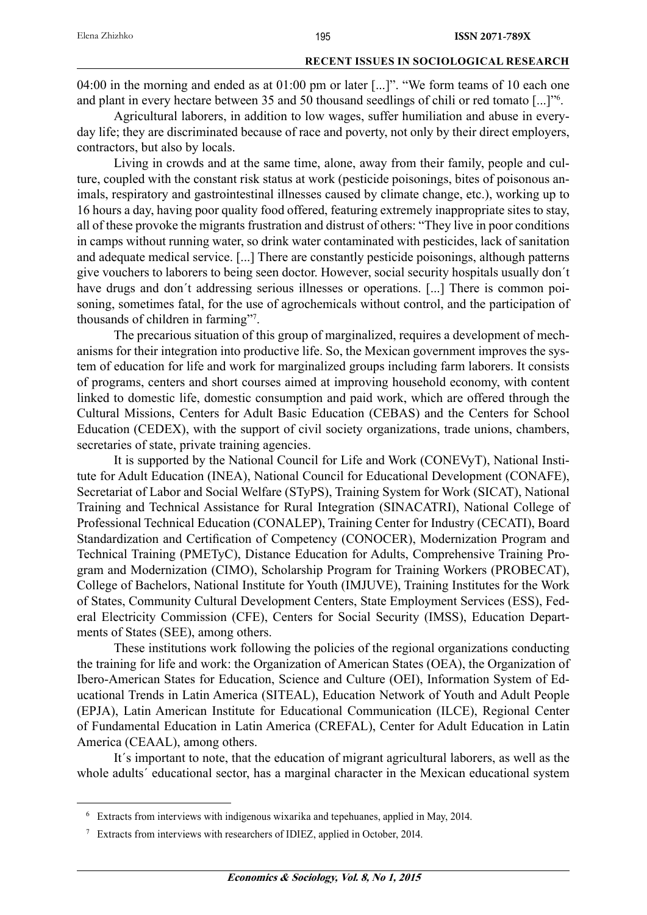04:00 in the morning and ended as at 01:00 pm or later [...]". "We form teams of 10 each one and plant in every hectare between 35 and 50 thousand seedlings of chili or red tomato [...]"6 .

Agricultural laborers, in addition to low wages, suffer humiliation and abuse in everyday life; they are discriminated because of race and poverty, not only by their direct employers, contractors, but also by locals.

Living in crowds and at the same time, alone, away from their family, people and culture, coupled with the constant risk status at work (pesticide poisonings, bites of poisonous animals, respiratory and gastrointestinal illnesses caused by climate change, etc.), working up to 16 hours a day, having poor quality food offered, featuring extremely inappropriate sites to stay, all of these provoke the migrants frustration and distrust of others: "They live in poor conditions in camps without running water, so drink water contaminated with pesticides, lack of sanitation and adequate medical service. [...] There are constantly pesticide poisonings, although patterns give vouchers to laborers to being seen doctor. However, social security hospitals usually don´t have drugs and don't addressing serious illnesses or operations. [...] There is common poisoning, sometimes fatal, for the use of agrochemicals without control, and the participation of thousands of children in farming"7 .

The precarious situation of this group of marginalized, requires a development of mechanisms for their integration into productive life. So, the Mexican government improves the system of education for life and work for marginalized groups including farm laborers. It consists of programs, centers and short courses aimed at improving household economy, with content linked to domestic life, domestic consumption and paid work, which are offered through the Cultural Missions, Centers for Adult Basic Education (CEBAS) and the Centers for School Education (CEDEX), with the support of civil society organizations, trade unions, chambers, secretaries of state, private training agencies.

It is supported by the National Council for Life and Work (CONEVyT), National Institute for Adult Education (INEA), National Council for Educational Development (CONAFE), Secretariat of Labor and Social Welfare (STyPS), Training System for Work (SICAT), National Training and Technical Assistance for Rural Integration (SINACATRI), National College of Professional Technical Education (CONALEP), Training Center for Industry (CECATI), Board Standardization and Certification of Competency (CONOCER), Modernization Program and Technical Training (PMETyC), Distance Education for Adults, Comprehensive Training Program and Modernization (CIMO), Scholarship Program for Training Workers (PROBECAT), College of Bachelors, National Institute for Youth (IMJUVE), Training Institutes for the Work of States, Community Cultural Development Centers, State Employment Services (ESS), Federal Electricity Commission (CFE), Centers for Social Security (IMSS), Education Departments of States (SEE), among others.

These institutions work following the policies of the regional organizations conducting the training for life and work: the Organization of American States (ОЕА), the Organization of Ibero-American States for Education, Science and Culture (OEI), Information System of Educational Trends in Latin America (SITEAL), Education Network of Youth and Adult People (EPJA), Latin American Institute for Educational Communication (ILCE), Regional Center of Fundamental Education in Latin America (CREFAL), Center for Adult Education in Latin America (СЕААL), among others.

It´s important to note, that the education of migrant agricultural laborers, as well as the whole adults' educational sector, has a marginal character in the Mexican educational system

<sup>6</sup> Extracts from interviews with indigenous wixarika and tepehuanes, applied in May, 2014.

<sup>7</sup> Extracts from interviews with researchers of IDIEZ, applied in October, 2014.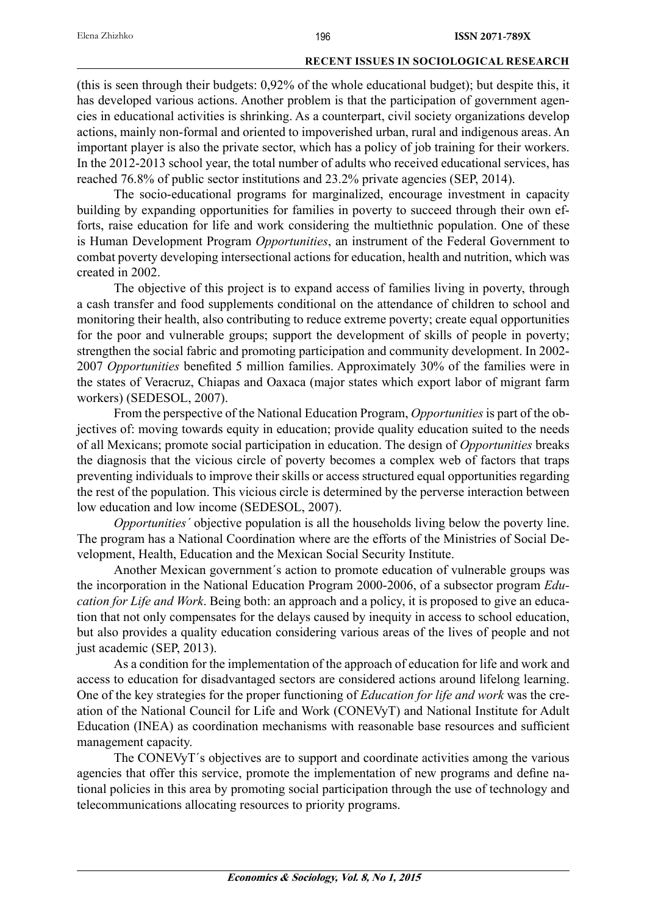(this is seen through their budgets: 0,92% of the whole educational budget); but despite this, it has developed various actions. Another problem is that the participation of government agencies in educational activities is shrinking. As a counterpart, civil society organizations develop actions, mainly non-formal and oriented to impoverished urban, rural and indigenous areas. An important player is also the private sector, which has a policy of job training for their workers. In the 2012-2013 school year, the total number of adults who received educational services, has reached 76.8% of public sector institutions and 23.2% private agencies (SEP, 2014).

The socio-educational programs for marginalized, encourage investment in capacity building by expanding opportunities for families in poverty to succeed through their own efforts, raise education for life and work considering the multiethnic population. One of these is Human Development Program *Opportunities*, an instrument of the Federal Government to combat poverty developing intersectional actions for education, health and nutrition, which was created in 2002.

The objective of this project is to expand access of families living in poverty, through a cash transfer and food supplements conditional on the attendance of children to school and monitoring their health, also contributing to reduce extreme poverty; create equal opportunities for the poor and vulnerable groups; support the development of skills of people in poverty; strengthen the social fabric and promoting participation and community development. In 2002- 2007 *Opportunities* benefited 5 million families. Approximately 30% of the families were in the states of Veracruz, Chiapas and Oaxaca (major states which export labor of migrant farm workers) (SEDESOL, 2007).

From the perspective of the National Education Program, *Opportunities* is part of the objectives of: moving towards equity in education; provide quality education suited to the needs of all Mexicans; promote social participation in education. The design of *Opportunities* breaks the diagnosis that the vicious circle of poverty becomes a complex web of factors that traps preventing individuals to improve their skills or access structured equal opportunities regarding the rest of the population. This vicious circle is determined by the perverse interaction between low education and low income (SEDESOL, 2007).

*Opportunities´* objective population is all the households living below the poverty line. The program has a National Coordination where are the efforts of the Ministries of Social Development, Health, Education and the Mexican Social Security Institute.

Another Mexican government´s action to promote education of vulnerable groups was the incorporation in the National Education Program 2000-2006, of a subsector program *Education for Life and Work*. Being both: an approach and a policy, it is proposed to give an education that not only compensates for the delays caused by inequity in access to school education, but also provides a quality education considering various areas of the lives of people and not just academic (SEP, 2013).

As a condition for the implementation of the approach of education for life and work and access to education for disadvantaged sectors are considered actions around lifelong learning. One of the key strategies for the proper functioning of *Education for life and work* was the creation of the National Council for Life and Work (CONEVyT) and National Institute for Adult Education (INEA) as coordination mechanisms with reasonable base resources and sufficient management capacity.

The CONEVyT´s objectives are to support and coordinate activities among the various agencies that offer this service, promote the implementation of new programs and define national policies in this area by promoting social participation through the use of technology and telecommunications allocating resources to priority programs.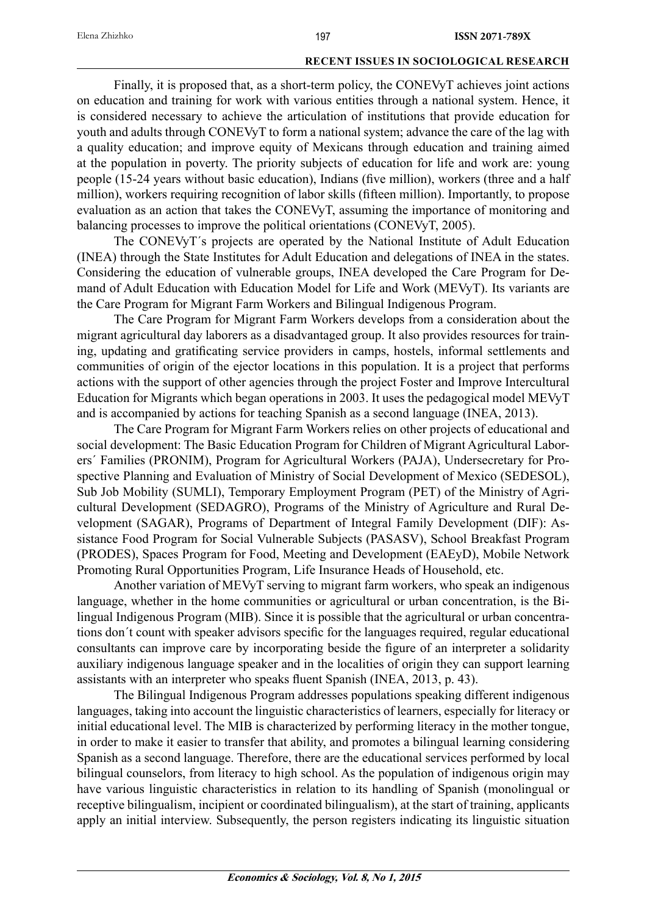Finally, it is proposed that, as a short-term policy, the CONEVyT achieves joint actions on education and training for work with various entities through a national system. Hence, it is considered necessary to achieve the articulation of institutions that provide education for youth and adults through CONEVyT to form a national system; advance the care of the lag with a quality education; and improve equity of Mexicans through education and training aimed at the population in poverty. The priority subjects of education for life and work are: young people (15-24 years without basic education), Indians (five million), workers (three and a half million), workers requiring recognition of labor skills (fifteen million). Importantly, to propose evaluation as an action that takes the CONEVyT, assuming the importance of monitoring and balancing processes to improve the political orientations (CONEVyT, 2005).

The CONEVyT´s projects are operated by the National Institute of Adult Education (INEA) through the State Institutes for Adult Education and delegations of INEA in the states. Considering the education of vulnerable groups, INEA developed the Care Program for Demand of Adult Education with Education Model for Life and Work (MEVyT). Its variants are the Care Program for Migrant Farm Workers and Bilingual Indigenous Program.

The Care Program for Migrant Farm Workers develops from a consideration about the migrant agricultural day laborers as a disadvantaged group. It also provides resources for training, updating and gratificating service providers in camps, hostels, informal settlements and communities of origin of the ejector locations in this population. It is a project that performs actions with the support of other agencies through the project Foster and Improve Intercultural Education for Migrants which began operations in 2003. It uses the pedagogical model MEVyT and is accompanied by actions for teaching Spanish as a second language (INEA, 2013).

The Care Program for Migrant Farm Workers relies on other projects of educational and social development: The Basic Education Program for Children of Migrant Agricultural Laborers´ Families (PRONIM), Program for Agricultural Workers (PAJA), Undersecretary for Prospective Planning and Evaluation of Ministry of Social Development of Mexico (SEDESOL), Sub Job Mobility (SUMLI), Temporary Employment Program (PET) of the Ministry of Agricultural Development (SEDAGRO), Programs of the Ministry of Agriculture and Rural Development (SAGAR), Programs of Department of Integral Family Development (DIF): Assistance Food Program for Social Vulnerable Subjects (PASASV), School Breakfast Program (PRODES), Spaces Program for Food, Meeting and Development (EAEyD), Mobile Network Promoting Rural Opportunities Program, Life Insurance Heads of Household, etc.

Another variation of MEVyT serving to migrant farm workers, who speak an indigenous language, whether in the home communities or agricultural or urban concentration, is the Bilingual Indigenous Program (MIB). Since it is possible that the agricultural or urban concentrations don't count with speaker advisors specific for the languages required, regular educational consultants can improve care by incorporating beside the figure of an interpreter a solidarity auxiliary indigenous language speaker and in the localities of origin they can support learning assistants with an interpreter who speaks fluent Spanish (INEA, 2013, p. 43).

The Bilingual Indigenous Program addresses populations speaking different indigenous languages, taking into account the linguistic characteristics of learners, especially for literacy or initial educational level. The MIB is characterized by performing literacy in the mother tongue, in order to make it easier to transfer that ability, and promotes a bilingual learning considering Spanish as a second language. Therefore, there are the educational services performed by local bilingual counselors, from literacy to high school. As the population of indigenous origin may have various linguistic characteristics in relation to its handling of Spanish (monolingual or receptive bilingualism, incipient or coordinated bilingualism), at the start of training, applicants apply an initial interview. Subsequently, the person registers indicating its linguistic situation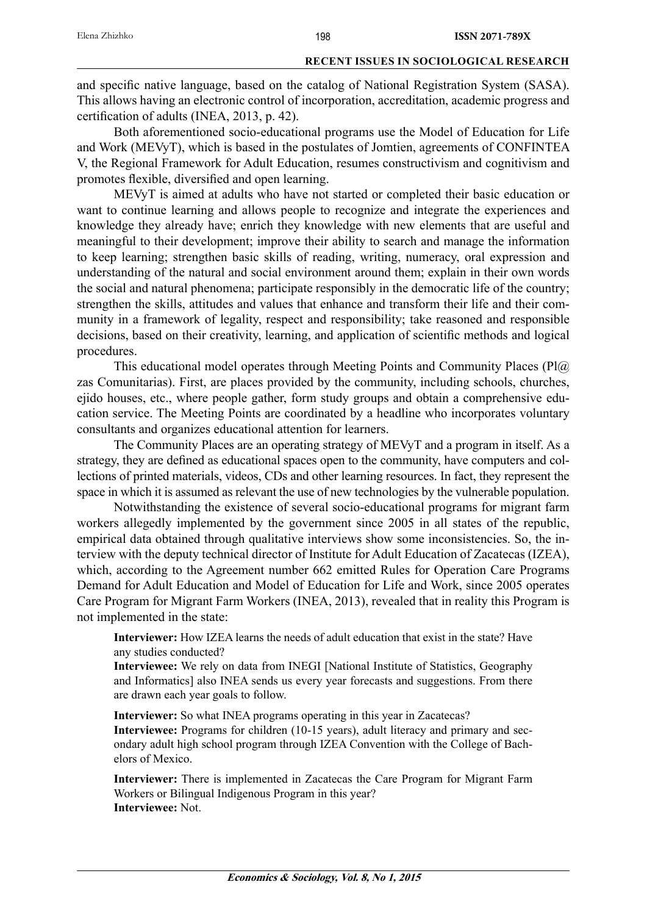and specific native language, based on the catalog of National Registration System (SASA). This allows having an electronic control of incorporation, accreditation, academic progress and certification of adults (INEA, 2013, p. 42).

Both aforementioned socio-educational programs use the Model of Education for Life and Work (MEVyT), which is based in the postulates of Jomtien, agreements of CONFINTEA V, the Regional Framework for Adult Education, resumes constructivism and cognitivism and promotes flexible, diversified and open learning.

MEVyT is aimed at adults who have not started or completed their basic education or want to continue learning and allows people to recognize and integrate the experiences and knowledge they already have; enrich they knowledge with new elements that are useful and meaningful to their development; improve their ability to search and manage the information to keep learning; strengthen basic skills of reading, writing, numeracy, oral expression and understanding of the natural and social environment around them; explain in their own words the social and natural phenomena; participate responsibly in the democratic life of the country; strengthen the skills, attitudes and values that enhance and transform their life and their community in a framework of legality, respect and responsibility; take reasoned and responsible decisions, based on their creativity, learning, and application of scientific methods and logical procedures.

This educational model operates through Meeting Points and Community Places (Pl@) zas Comunitarias). First, are places provided by the community, including schools, churches, ejido houses, etc., where people gather, form study groups and obtain a comprehensive education service. The Meeting Points are coordinated by a headline who incorporates voluntary consultants and organizes educational attention for learners.

The Community Places are an operating strategy of MEVyT and a program in itself. As a strategy, they are defined as educational spaces open to the community, have computers and collections of printed materials, videos, CDs and other learning resources. In fact, they represent the space in which it is assumed as relevant the use of new technologies by the vulnerable population.

Notwithstanding the existence of several socio-educational programs for migrant farm workers allegedly implemented by the government since 2005 in all states of the republic, empirical data obtained through qualitative interviews show some inconsistencies. So, the interview with the deputy technical director of Institute for Adult Education of Zacatecas (IZEA), which, according to the Agreement number 662 emitted Rules for Operation Care Programs Demand for Adult Education and Model of Education for Life and Work, since 2005 operates Care Program for Migrant Farm Workers (INEA, 2013), revealed that in reality this Program is not implemented in the state:

**Interviewer:** How IZEA learns the needs of adult education that exist in the state? Have any studies conducted?

**Interviewee:** We rely on data from INEGI [National Institute of Statistics, Geography and Informatics] also INEA sends us every year forecasts and suggestions. From there are drawn each year goals to follow.

**Interviewer:** So what INEA programs operating in this year in Zacatecas? **Interviewee:** Programs for children (10-15 years), adult literacy and primary and secondary adult high school program through IZEA Convention with the College of Bachelors of Mexico.

**Interviewer:** There is implemented in Zacatecas the Care Program for Migrant Farm Workers or Bilingual Indigenous Program in this year? **Interviewee:** Not.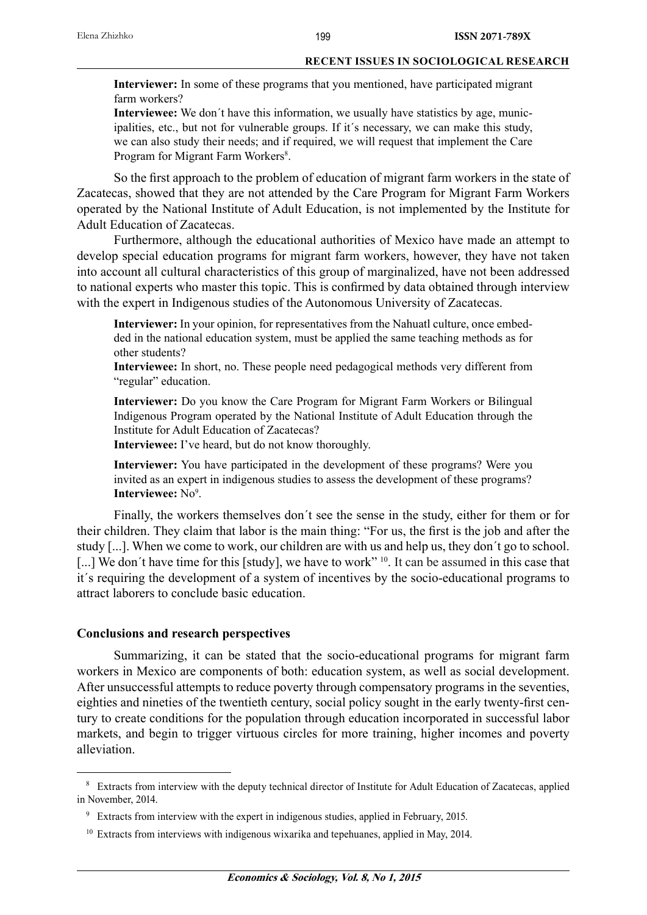**Interviewer:** In some of these programs that you mentioned, have participated migrant farm workers?

**Interviewee:** We don´t have this information, we usually have statistics by age, municipalities, etc., but not for vulnerable groups. If it´s necessary, we can make this study, we can also study their needs; and if required, we will request that implement the Care Program for Migrant Farm Workers<sup>8</sup>.

So the first approach to the problem of education of migrant farm workers in the state of Zacatecas, showed that they are not attended by the Care Program for Migrant Farm Workers operated by the National Institute of Adult Education, is not implemented by the Institute for Adult Education of Zacatecas.

Furthermore, although the educational authorities of Mexico have made an attempt to develop special education programs for migrant farm workers, however, they have not taken into account all cultural characteristics of this group of marginalized, have not been addressed to national experts who master this topic. This is confirmed by data obtained through interview with the expert in Indigenous studies of the Autonomous University of Zacatecas.

**Interviewer:** In your opinion, for representatives from the Nahuatl culture, once embedded in the national education system, must be applied the same teaching methods as for other students?

**Interviewee:** In short, no. These people need pedagogical methods very different from "regular" education.

**Interviewer:** Do you know the Care Program for Migrant Farm Workers or Bilingual Indigenous Program operated by the National Institute of Adult Education through the Institute for Adult Education of Zacatecas?

**Interviewee:** I've heard, but do not know thoroughly.

**Interviewer:** You have participated in the development of these programs? Were you invited as an expert in indigenous studies to assess the development of these programs? Interviewee: No<sup>9</sup>.

Finally, the workers themselves don´t see the sense in the study, either for them or for their children. They claim that labor is the main thing: "For us, the first is the job and after the study [...]. When we come to work, our children are with us and help us, they don´t go to school. [...] We don't have time for this [study], we have to work" <sup>10</sup>. It can be assumed in this case that it´s requiring the development of a system of incentives by the socio-educational programs to attract laborers to conclude basic education.

# **Conclusions and research perspectives**

Summarizing, it can be stated that the socio-educational programs for migrant farm workers in Mexico are components of both: education system, as well as social development. After unsuccessful attempts to reduce poverty through compensatory programs in the seventies, eighties and nineties of the twentieth century, social policy sought in the early twenty-first century to create conditions for the population through education incorporated in successful labor markets, and begin to trigger virtuous circles for more training, higher incomes and poverty alleviation.

<sup>&</sup>lt;sup>8</sup> Extracts from interview with the deputy technical director of Institute for Adult Education of Zacatecas, applied in November, 2014.

<sup>9</sup> Extracts from interview with the expert in indigenous studies, applied in February, 2015.

<sup>&</sup>lt;sup>10</sup> Extracts from interviews with indigenous wixarika and tepehuanes, applied in May, 2014.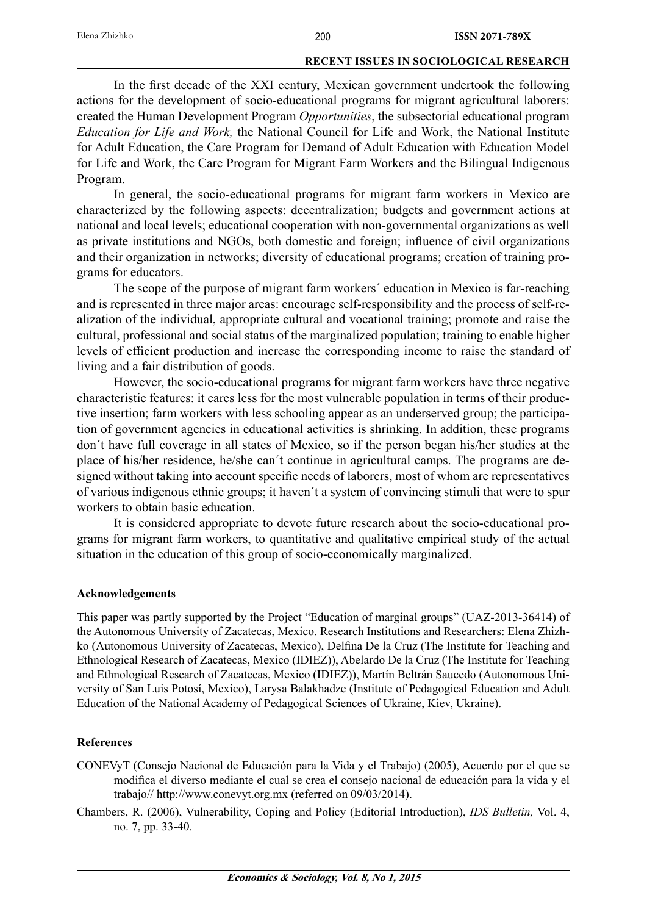In the first decade of the XXI century, Mexican government undertook the following actions for the development of socio-educational programs for migrant agricultural laborers: created the Human Development Program *Opportunities*, the subsectorial educational program *Education for Life and Work,* the National Council for Life and Work, the National Institute for Adult Education, the Care Program for Demand of Adult Education with Education Model for Life and Work, the Care Program for Migrant Farm Workers and the Bilingual Indigenous Program.

In general, the socio-educational programs for migrant farm workers in Mexico are characterized by the following aspects: decentralization; budgets and government actions at national and local levels; educational cooperation with non-governmental organizations as well as private institutions and NGOs, both domestic and foreign; influence of civil organizations and their organization in networks; diversity of educational programs; creation of training programs for educators.

The scope of the purpose of migrant farm workers´ education in Mexico is far-reaching and is represented in three major areas: encourage self-responsibility and the process of self-realization of the individual, appropriate cultural and vocational training; promote and raise the cultural, professional and social status of the marginalized population; training to enable higher levels of efficient production and increase the corresponding income to raise the standard of living and a fair distribution of goods.

However, the socio-educational programs for migrant farm workers have three negative characteristic features: it cares less for the most vulnerable population in terms of their productive insertion; farm workers with less schooling appear as an underserved group; the participation of government agencies in educational activities is shrinking. In addition, these programs don´t have full coverage in all states of Mexico, so if the person began his/her studies at the place of his/her residence, he/she can´t continue in agricultural camps. The programs are designed without taking into account specific needs of laborers, most of whom are representatives of various indigenous ethnic groups; it haven´t a system of convincing stimuli that were to spur workers to obtain basic education.

It is considered appropriate to devote future research about the socio-educational programs for migrant farm workers, to quantitative and qualitative empirical study of the actual situation in the education of this group of socio-economically marginalized.

# **Acknowledgements**

This paper was partly supported by the Project "Education of marginal groups" (UAZ-2013-36414) of the Autonomous University of Zacatecas, Mexico. Research Institutions and Researchers: Elena Zhizhko (Autonomous University of Zacatecas, Mexico), Delfina De la Cruz (The Institute for Teaching and Ethnological Research of Zacatecas, Mexico (IDIEZ)), Abelardo De la Cruz (The Institute for Teaching and Ethnological Research of Zacatecas, Mexico (IDIEZ)), Martín Beltrán Saucedo (Autonomous University of San Luis Potosí, Mexico), Larysa Balakhadze (Institute of Pedagogical Education and Adult Education of the National Academy of Pedagogical Sciences of Ukraine, Kiev, Ukraine).

# **References**

- CONEVyT (Consejo Nacional de Educación para la Vida y el Trabajo) (2005), Acuerdo por el que se modifica el diverso mediante el cual se crea el consejo nacional de educación para la vida y el trabajo// http://www.conevyt.org.mx (referred on 09/03/2014).
- Chambers, R. (2006), Vulnerability, Coping and Policy (Editorial Introduction), *IDS Bulletin,* Vol. 4, no. 7, pp. 33-40.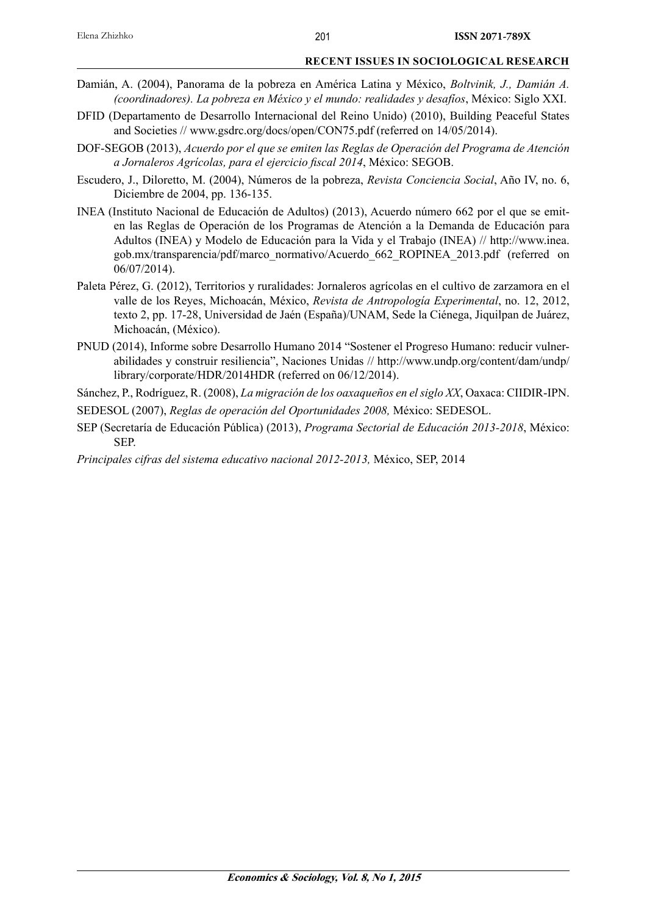- Damián, A. (2004), Panorama de la pobreza en América Latina y México, *Boltvinik, J., Damián A. (coordinadores). La pobreza en México y el mundo: realidades y desafíos*, México: Siglo XXI.
- DFID (Departamento de Desarrollo Internacional del Reino Unido) (2010), Building Peaceful States and Societies // www.gsdrc.org/docs/open/CON75.pdf (referred on 14/05/2014).
- DOF-SEGOB (2013), *Acuerdo por el que se emiten las Reglas de Operación del Programa de Atención a Jornaleros Agrícolas, para el ejercicio fi scal 2014*, México: SEGOB.
- Escudero, J., Diloretto, M. (2004), Números de la pobreza, *Revista Conciencia Social*, Año IV, no. 6, Diciembre de 2004, pp. 136-135.
- INEA (Instituto Nacional de Educación de Adultos) (2013), Acuerdo número 662 por el que se emiten las Reglas de Operación de los Programas de Atención a la Demanda de Educación para Adultos (INEA) y Modelo de Educación para la Vida y el Trabajo (INEA) // http://www.inea. gob.mx/transparencia/pdf/marco\_normativo/Acuerdo\_662\_ROPINEA\_2013.pdf (referred on 06/07/2014).
- Paleta Pérez, G. (2012), Territorios y ruralidades: Jornaleros agrícolas en el cultivo de zarzamora en el valle de los Reyes, Michoacán, México, *Revista de Antropología Experimental*, no. 12, 2012, texto 2, pp. 17-28, Universidad de Jaén (España)/UNAM, Sede la Ciénega, Jiquilpan de Juárez, Michoacán, (México).
- PNUD (2014), Informe sobre Desarrollo Humano 2014 "Sostener el Progreso Humano: reducir vulnerabilidades y construir resiliencia", Naciones Unidas // http://www.undp.org/content/dam/undp/ library/corporate/HDR/2014HDR (referred on 06/12/2014).

Sánchez, P., Rodríguez, R. (2008), *La migración de los oaxaqueños en el siglo XX*, Oaxaca: CIIDIR-IPN.

- SEDESOL (2007), *Reglas de operación del Oportunidades 2008,* México: SEDESOL.
- SEP (Secretaría de Educación Pública) (2013), *Programa Sectorial de Educación 2013-2018*, México: SEP.

*Principales cifras del sistema educativo nacional 2012-2013,* México, SEP, 2014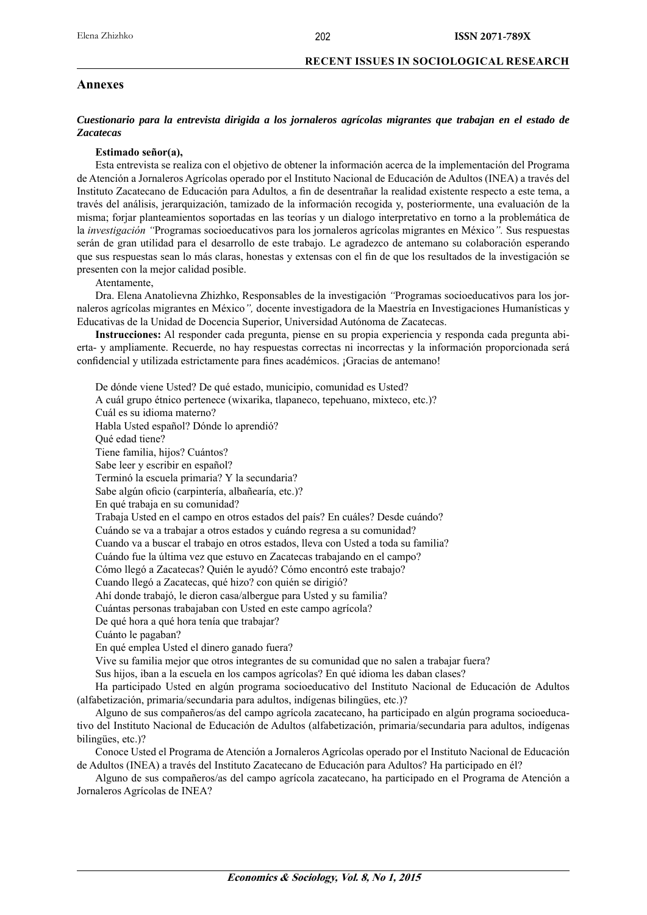### **Annexes**

### *Cuestionario para la entrevista dirigida a los jornaleros agrícolas migrantes que trabajan en el estado de Zacatecas*

### **Estimado señor(a),**

Esta entrevista se realiza con el objetivo de obtener la información acerca de la implementación del Programa de Atención a Jornaleros Agrícolas operado por el Instituto Nacional de Educación de Adultos (INEA) a través del Instituto Zacatecano de Educación para Adultos, a fin de desentrañar la realidad existente respecto a este tema, a través del análisis, jerarquización, tamizado de la información recogida y, posteriormente, una evaluación de la misma; forjar planteamientos soportadas en las teorías y un dialogo interpretativo en torno a la problemática de la *investigación "*Programas socioeducativos para los jornaleros agrícolas migrantes en México*".* Sus respuestas serán de gran utilidad para el desarrollo de este trabajo. Le agradezco de antemano su colaboración esperando que sus respuestas sean lo más claras, honestas y extensas con el fin de que los resultados de la investigación se presenten con la mejor calidad posible.

Atentamente,

Dra. Elena Anatolievna Zhizhko, Responsables de la investigación *"*Programas socioeducativos para los jornaleros agrícolas migrantes en México*",* docente investigadora de la Maestría en Investigaciones Humanísticas y Educativas de la Unidad de Docencia Superior, Universidad Autónoma de Zacatecas.

**Instrucciones:** Al responder cada pregunta, piense en su propia experiencia y responda cada pregunta abierta- y ampliamente. Recuerde, no hay respuestas correctas ni incorrectas y la información proporcionada será confidencial y utilizada estrictamente para fines académicos. ¡Gracias de antemano!

De dónde viene Usted? De qué estado, municipio, comunidad es Usted? A cuál grupo étnico pertenece (wixarika, tlapaneco, tepehuano, mixteco, etc.)? Cuál es su idioma materno? Habla Usted español? Dónde lo aprendió? Qué edad tiene? Tiene familia, hijos? Cuántos? Sabe leer y escribir en español? Terminó la escuela primaria? Y la secundaria? Sabe algún oficio (carpintería, albañearía, etc.)? En qué trabaja en su comunidad? Trabaja Usted en el campo en otros estados del país? En cuáles? Desde cuándo? Cuándo se va a trabajar a otros estados y cuándo regresa a su comunidad? Cuando va a buscar el trabajo en otros estados, lleva con Usted a toda su familia? Cuándo fue la última vez que estuvo en Zacatecas trabajando en el campo? Cómo llegó a Zacatecas? Quién le ayudó? Cómo encontró este trabajo? Cuando llegó a Zacatecas, qué hizo? con quién se dirigió? Ahí donde trabajó, le dieron casa/albergue para Usted y su familia? Cuántas personas trabajaban con Usted en este campo agrícola? De qué hora a qué hora tenía que trabajar? Cuánto le pagaban? En qué emplea Usted el dinero ganado fuera? Vive su familia mejor que otros integrantes de su comunidad que no salen a trabajar fuera? Sus hijos, iban a la escuela en los campos agrícolas? En qué idioma les daban clases? Ha participado Usted en algún programa socioeducativo del Instituto Nacional de Educación de Adultos

(alfabetización, primaria/secundaria para adultos, indígenas bilingües, etc.)?

Alguno de sus compañeros/as del campo agrícola zacatecano, ha participado en algún programa socioeducativo del Instituto Nacional de Educación de Adultos (alfabetización, primaria/secundaria para adultos, indígenas bilingües, etc.)?

Conoce Usted el Programa de Atención a Jornaleros Agrícolas operado por el Instituto Nacional de Educación de Adultos (INEA) a través del Instituto Zacatecano de Educación para Adultos? Ha participado en él?

Alguno de sus compañeros/as del campo agrícola zacatecano, ha participado en el Programa de Atención a Jornaleros Agrícolas de INEA?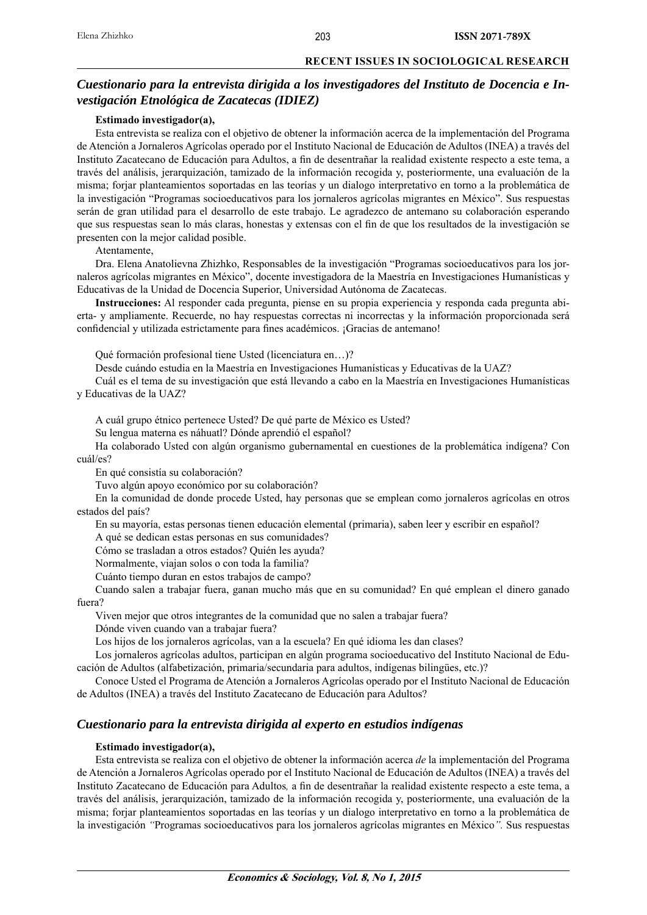### 203

### **RECENT ISSUES IN SOCIOLOGICAL RESEARCH**

# *Cuestionario para la entrevista dirigida a los investigadores del Instituto de Docencia e Investigación Etnológica de Zacatecas (IDIEZ)*

### **Estimado investigador(a),**

Esta entrevista se realiza con el objetivo de obtener la información acerca de la implementación del Programa de Atención a Jornaleros Agrícolas operado por el Instituto Nacional de Educación de Adultos (INEA) a través del Instituto Zacatecano de Educación para Adultos, a fin de desentrañar la realidad existente respecto a este tema, a través del análisis, jerarquización, tamizado de la información recogida y, posteriormente, una evaluación de la misma; forjar planteamientos soportadas en las teorías y un dialogo interpretativo en torno a la problemática de la investigación "Programas socioeducativos para los jornaleros agrícolas migrantes en México". Sus respuestas serán de gran utilidad para el desarrollo de este trabajo. Le agradezco de antemano su colaboración esperando que sus respuestas sean lo más claras, honestas y extensas con el fin de que los resultados de la investigación se presenten con la mejor calidad posible.

### Atentamente,

Dra. Elena Anatolievna Zhizhko, Responsables de la investigación "Programas socioeducativos para los jornaleros agrícolas migrantes en México", docente investigadora de la Maestría en Investigaciones Humanísticas y Educativas de la Unidad de Docencia Superior, Universidad Autónoma de Zacatecas.

**Instrucciones:** Al responder cada pregunta, piense en su propia experiencia y responda cada pregunta abierta- y ampliamente. Recuerde, no hay respuestas correctas ni incorrectas y la información proporcionada será confidencial y utilizada estrictamente para fines académicos. ¡Gracias de antemano!

Qué formación profesional tiene Usted (licenciatura en…)?

Desde cuándo estudia en la Maestría en Investigaciones Humanísticas y Educativas de la UAZ?

Cuál es el tema de su investigación que está llevando a cabo en la Maestría en Investigaciones Humanísticas y Educativas de la UAZ?

A cuál grupo étnico pertenece Usted? De qué parte de México es Usted?

Su lengua materna es náhuatl? Dónde aprendió el español?

Ha colaborado Usted con algún organismo gubernamental en cuestiones de la problemática indígena? Con cuál/es?

En qué consistía su colaboración?

Tuvo algún apoyo económico por su colaboración?

En la comunidad de donde procede Usted, hay personas que se emplean como jornaleros agrícolas en otros estados del país?

En su mayoría, estas personas tienen educación elemental (primaria), saben leer y escribir en español?

A qué se dedican estas personas en sus comunidades?

Cómo se trasladan a otros estados? Quién les ayuda?

Normalmente, viajan solos o con toda la familia?

Cuánto tiempo duran en estos trabajos de campo?

Cuando salen a trabajar fuera, ganan mucho más que en su comunidad? En qué emplean el dinero ganado fuera?

Viven mejor que otros integrantes de la comunidad que no salen a trabajar fuera?

Dónde viven cuando van a trabajar fuera?

Los hijos de los jornaleros agrícolas, van a la escuela? En qué idioma les dan clases?

Los jornaleros agrícolas adultos, participan en algún programa socioeducativo del Instituto Nacional de Educación de Adultos (alfabetización, primaria/secundaria para adultos, indígenas bilingües, etc.)?

Conoce Usted el Programa de Atención a Jornaleros Agrícolas operado por el Instituto Nacional de Educación de Adultos (INEA) a través del Instituto Zacatecano de Educación para Adultos?

### *Cuestionario para la entrevista dirigida al experto en estudios indígenas*

### **Estimado investigador(a),**

Esta entrevista se realiza con el objetivo de obtener la información acerca *de* la implementación del Programa de Atención a Jornaleros Agrícolas operado por el Instituto Nacional de Educación de Adultos (INEA) a través del Instituto Zacatecano de Educación para Adultos, a fin de desentrañar la realidad existente respecto a este tema, a través del análisis, jerarquización, tamizado de la información recogida y, posteriormente, una evaluación de la misma; forjar planteamientos soportadas en las teorías y un dialogo interpretativo en torno a la problemática de la investigación *"*Programas socioeducativos para los jornaleros agrícolas migrantes en México*".* Sus respuestas